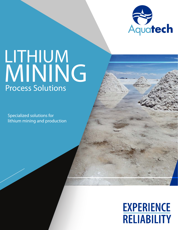

# MINING Process Solutions LITHIUM

Specialized solutions for lithium mining and production

## **EXPERIENCE RELIABILITY**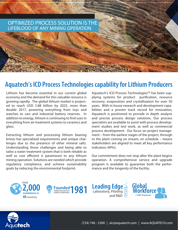

## **Aquatech's ICD Process Technologies capability for Lithium Producers**

Lithium has become essential in our current global economy and the demand for this valuable resource is growing rapidly. The global lithium market is projected to reach USD 5.88 billion by 2025, more than double 2017, powering everything from toys and watches to cars and industrial battery reserves. In addition to energy, lithium is continuing to find uses in everything from air treatment systems to ceramics and glass.

Extracting lithium and processing lithium bearing brines has specialized requirements and unique challenges due to the presence of other mineral salts. Understanding those challenges and being able to tailor a water treatment system that is both reliable as well as cost efficient is paramount to any lithium mining operation. Solutions are needed which provide regulatory compliance, and achieve sustainability goals by reducing the environmental footprint.

Aquatech's ICD Process Technologies™ has been supplying systems for product purification, resource recovery, evaporation and crystallization for over 50 years. With in house research and development capabilities and a proven track record for innovation, Aquatech is positioned to provide in depth analysis and precise process design solutions. Our process specialists are available to assist with process development studies and test work, as well as commercial process development. Our focus on project management – from the earliest stages of the project, through to the plant coming on stream, on schedule – means stakeholders are aligned to meet all key performance indicators (KPIs).

Our commitment does not stop after the plant begins operation. A comprehensive service and upgrade program is available to guarantee both the performance and the longevity of the facility.









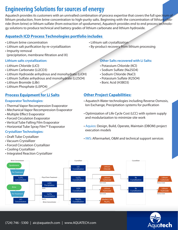## **Engineering Solutions for sources of energy**

Aquatech provides its customers with an unrivalled combination of process expertise that covers the full spectrum of lithium production, from brine concentration to high-purity salts. Beginning with the concentration of lithium chloride (from brine) or lithium sulfate (from extraction of spodumene), Aquatech provides end to end process technology solutions to produce technical and battery grades of lithium carbonate and lithium hydroxide.

#### **Aquatech ICD Process Technologies portfolio includes**

- Lithium brine concentration  **Lithium salt crystallization** Lithium salt crystallization
- 
- Impurity removal (precipitation, membrane filtration and IX)

#### **Lithium salts crystallization:**

- Lithium Chloride (LiCl)
- Lithium Carbonate (Li2CO3)
- Lithium Hydroxide anhydrous and monohydrate (LiOH)
- Lithium Sulfate anhydrous and monohydrate (Li2SO4)
- Lithium Bromide (LiBr)
- Lithium Phosphate (Li3PO4)

#### **Process Equipment for Li Salts**

#### **Evaporator Technologies:**

- Thermal Vapor Recompression Evaporator
- Mechanical Vapor Recompression Evaporator
- Multiple Effect Evaporator
- Forced Circulation Evaporator
- Vertical Tube Falling Film Evaporator
- $\cdot$  Horizontal Tube Spray Film<sup>™</sup> Evaporator

#### **Crystallizer Technologies:**

- Draft Tube Crystallizer
- Vacuum Crystallizer
- Forced Circulation Crystallizer
- Cooling Crystallizer
- Integrated Reaction Crystallizer
- 
- Lithium salt purification by re-crystallization By-product recovery from lithium processing

#### **Other Salts recovered with Li Salts:**

- Potassium Chloride (KCl)
- Sodium Sulfate (Na2SO4)
- Sodium Chloride (NaCl)
- Potassium Sulfate (K2SO4)
- Boric Acid (H3BO3)

#### **Other Project Capabilities:**

- Aquatech Water technologies including Reverse Osmosis, Ion Exchange, Precipitation systems for purification
- Optimization of Life Cycle Cost (LCC) with system supply and modularization to minimize site work
- Aquios: Design, Build, Operate, Maintain (DBOM) project execution models
- IWS: Aftermarket, O&M and technical support services